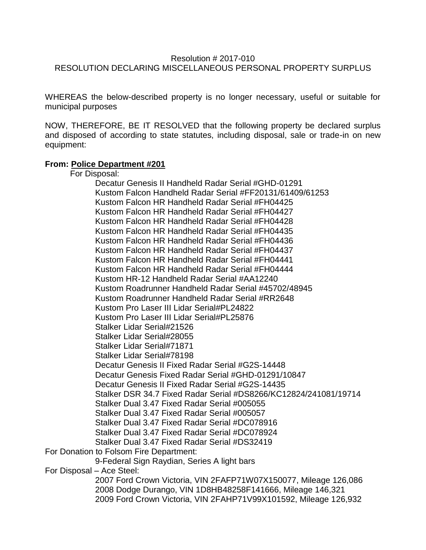## Resolution # 2017-010 RESOLUTION DECLARING MISCELLANEOUS PERSONAL PROPERTY SURPLUS

WHEREAS the below-described property is no longer necessary, useful or suitable for municipal purposes

NOW, THEREFORE, BE IT RESOLVED that the following property be declared surplus and disposed of according to state statutes, including disposal, sale or trade-in on new equipment:

## **From: Police Department #201**

For Disposal:

Decatur Genesis II Handheld Radar Serial #GHD-01291 Kustom Falcon Handheld Radar Serial #FF20131/61409/61253 Kustom Falcon HR Handheld Radar Serial #FH04425 Kustom Falcon HR Handheld Radar Serial #FH04427 Kustom Falcon HR Handheld Radar Serial #FH04428 Kustom Falcon HR Handheld Radar Serial #FH04435 Kustom Falcon HR Handheld Radar Serial #FH04436 Kustom Falcon HR Handheld Radar Serial #FH04437 Kustom Falcon HR Handheld Radar Serial #FH04441 Kustom Falcon HR Handheld Radar Serial #FH04444 Kustom HR-12 Handheld Radar Serial #AA12240 Kustom Roadrunner Handheld Radar Serial #45702/48945 Kustom Roadrunner Handheld Radar Serial #RR2648 Kustom Pro Laser III Lidar Serial#PL24822 Kustom Pro Laser III Lidar Serial#PL25876 Stalker Lidar Serial#21526 Stalker Lidar Serial#28055 Stalker Lidar Serial#71871 Stalker Lidar Serial#78198 Decatur Genesis II Fixed Radar Serial #G2S-14448 Decatur Genesis Fixed Radar Serial #GHD-01291/10847 Decatur Genesis II Fixed Radar Serial #G2S-14435 Stalker DSR 34.7 Fixed Radar Serial #DS8266/KC12824/241081/19714 Stalker Dual 3.47 Fixed Radar Serial #005055 Stalker Dual 3.47 Fixed Radar Serial #005057 Stalker Dual 3.47 Fixed Radar Serial #DC078916 Stalker Dual 3.47 Fixed Radar Serial #DC078924 Stalker Dual 3.47 Fixed Radar Serial #DS32419 For Donation to Folsom Fire Department: 9-Federal Sign Raydian, Series A light bars For Disposal – Ace Steel: 2007 Ford Crown Victoria, VIN 2FAFP71W07X150077, Mileage 126,086 2008 Dodge Durango, VIN 1D8HB48258F141666, Mileage 146,321 2009 Ford Crown Victoria, VIN 2FAHP71V99X101592, Mileage 126,932